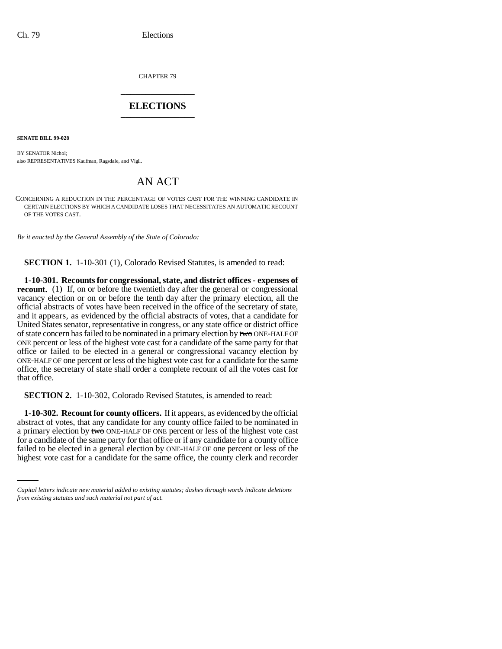CHAPTER 79 \_\_\_\_\_\_\_\_\_\_\_\_\_\_\_

## **ELECTIONS** \_\_\_\_\_\_\_\_\_\_\_\_\_\_\_

**SENATE BILL 99-028** 

BY SENATOR Nichol; also REPRESENTATIVES Kaufman, Ragsdale, and Vigil.

## AN ACT

CONCERNING A REDUCTION IN THE PERCENTAGE OF VOTES CAST FOR THE WINNING CANDIDATE IN CERTAIN ELECTIONS BY WHICH A CANDIDATE LOSES THAT NECESSITATES AN AUTOMATIC RECOUNT OF THE VOTES CAST.

*Be it enacted by the General Assembly of the State of Colorado:*

**SECTION 1.** 1-10-301 (1), Colorado Revised Statutes, is amended to read:

**1-10-301. Recounts for congressional, state, and district offices - expenses of recount.** (1) If, on or before the twentieth day after the general or congressional vacancy election or on or before the tenth day after the primary election, all the official abstracts of votes have been received in the office of the secretary of state, and it appears, as evidenced by the official abstracts of votes, that a candidate for United States senator, representative in congress, or any state office or district office of state concern has failed to be nominated in a primary election by two ONE-HALF OF ONE percent or less of the highest vote cast for a candidate of the same party for that office or failed to be elected in a general or congressional vacancy election by ONE-HALF OF one percent or less of the highest vote cast for a candidate for the same office, the secretary of state shall order a complete recount of all the votes cast for that office.

**SECTION 2.** 1-10-302, Colorado Revised Statutes, is amended to read:

for a candidate of the same party for that office or if any candidate for a county office **1-10-302. Recount for county officers.** If it appears, as evidenced by the official abstract of votes, that any candidate for any county office failed to be nominated in a primary election by two ONE-HALF OF ONE percent or less of the highest vote cast failed to be elected in a general election by ONE-HALF OF one percent or less of the highest vote cast for a candidate for the same office, the county clerk and recorder

*Capital letters indicate new material added to existing statutes; dashes through words indicate deletions from existing statutes and such material not part of act.*